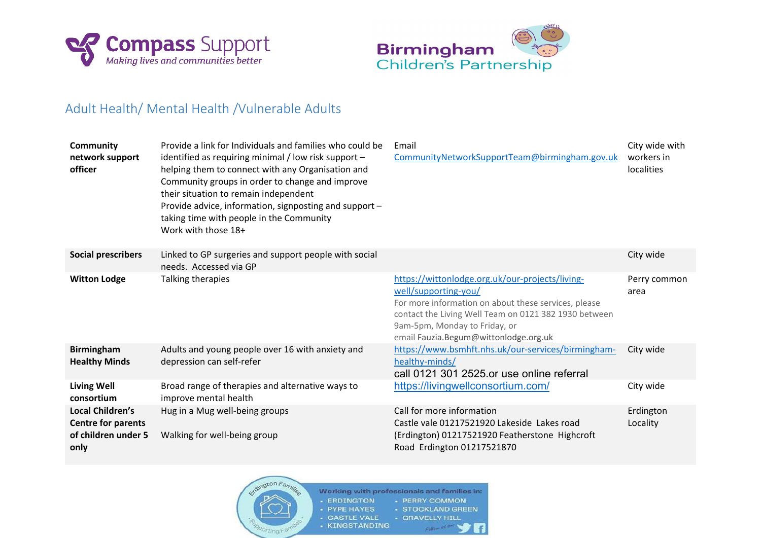



## Adult Health/ Mental Health /Vulnerable Adults

| <b>Community</b><br>network support<br>officer                               | Provide a link for Individuals and families who could be<br>identified as requiring minimal / low risk support -<br>helping them to connect with any Organisation and<br>Community groups in order to change and improve<br>their situation to remain independent<br>Provide advice, information, signposting and support -<br>taking time with people in the Community<br>Work with those 18+ | Email<br>CommunityNetworkSupportTeam@birmingham.gov.uk                                                                                                                                                                                                             | City wide with<br>workers in<br>localities |
|------------------------------------------------------------------------------|------------------------------------------------------------------------------------------------------------------------------------------------------------------------------------------------------------------------------------------------------------------------------------------------------------------------------------------------------------------------------------------------|--------------------------------------------------------------------------------------------------------------------------------------------------------------------------------------------------------------------------------------------------------------------|--------------------------------------------|
| <b>Social prescribers</b>                                                    | Linked to GP surgeries and support people with social<br>needs. Accessed via GP                                                                                                                                                                                                                                                                                                                |                                                                                                                                                                                                                                                                    | City wide                                  |
| <b>Witton Lodge</b>                                                          | Talking therapies                                                                                                                                                                                                                                                                                                                                                                              | https://wittonlodge.org.uk/our-projects/living-<br>well/supporting-you/<br>For more information on about these services, please<br>contact the Living Well Team on 0121 382 1930 between<br>9am-5pm, Monday to Friday, or<br>email Fauzia.Begum@wittonlodge.org.uk | Perry common<br>area                       |
| <b>Birmingham</b><br><b>Healthy Minds</b>                                    | Adults and young people over 16 with anxiety and<br>depression can self-refer                                                                                                                                                                                                                                                                                                                  | https://www.bsmhft.nhs.uk/our-services/birmingham-<br>healthy-minds/<br>call 0121 301 2525 or use online referral                                                                                                                                                  | City wide                                  |
| <b>Living Well</b><br>consortium                                             | Broad range of therapies and alternative ways to<br>improve mental health                                                                                                                                                                                                                                                                                                                      | https://livingwellconsortium.com/                                                                                                                                                                                                                                  | City wide                                  |
| Local Children's<br><b>Centre for parents</b><br>of children under 5<br>only | Hug in a Mug well-being groups<br>Walking for well-being group                                                                                                                                                                                                                                                                                                                                 | Call for more information<br>Castle vale 01217521920 Lakeside Lakes road<br>(Erdington) 01217521920 Featherstone Highcroft<br>Road Erdington 01217521870                                                                                                           | Erdington<br>Locality                      |